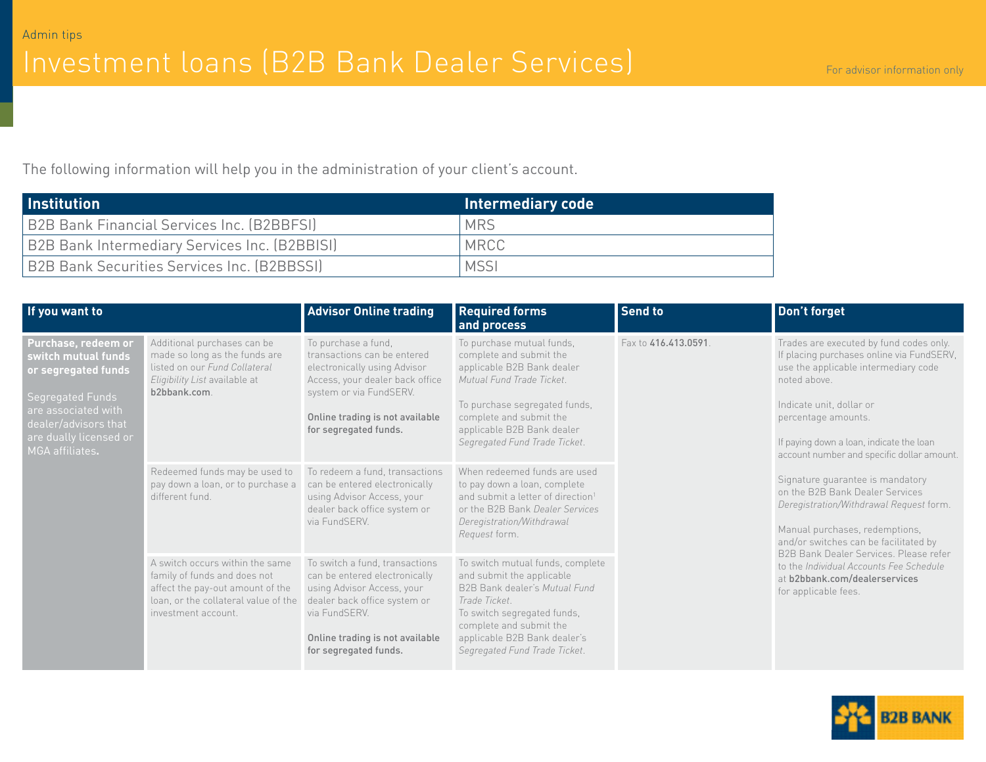# Investment loans (B2B Bank Dealer Services) For advisor information only

The following information will help you in the administration of your client's account.

| <b>Institution</b>                                 | Intermediary code |
|----------------------------------------------------|-------------------|
| <b>B2B Bank Financial Services Inc. (B2BBFSI)</b>  | <b>MRS</b>        |
| B2B Bank Intermediary Services Inc. (B2BBISI)      | MRCC              |
| <b>B2B Bank Securities Services Inc. (B2BBSSI)</b> | <b>MSSI</b>       |

| If you want to                                                                                                                                                                    |                                                                                                                                                                    | <b>Advisor Online trading</b>                                                                                                                                                                                | <b>Required forms</b><br>and process                                                                                                                                                                                                       | <b>Send to</b>                                                                                                 | Don't forget                                                                                                                                                                                                                        |
|-----------------------------------------------------------------------------------------------------------------------------------------------------------------------------------|--------------------------------------------------------------------------------------------------------------------------------------------------------------------|--------------------------------------------------------------------------------------------------------------------------------------------------------------------------------------------------------------|--------------------------------------------------------------------------------------------------------------------------------------------------------------------------------------------------------------------------------------------|----------------------------------------------------------------------------------------------------------------|-------------------------------------------------------------------------------------------------------------------------------------------------------------------------------------------------------------------------------------|
| Purchase, redeem or<br>switch mutual funds<br>or segregated funds<br>Segregated Funds<br>are associated with<br>dealer/advisors that<br>are dually licensed or<br>MGA affiliates. | Additional purchases can be<br>made so long as the funds are<br>listed on our Fund Collateral<br>Eligibility List available at<br>b2bbank.com.                     | To purchase a fund,<br>transactions can be entered<br>electronically using Advisor<br>Access, your dealer back office<br>system or via FundSERV.<br>Online trading is not available<br>for segregated funds. | To purchase mutual funds,<br>complete and submit the<br>applicable B2B Bank dealer<br>Mutual Fund Trade Ticket.<br>To purchase segregated funds,<br>complete and submit the<br>applicable B2B Bank dealer<br>Segregated Fund Trade Ticket. | Fax to 416.413.0591<br>noted above.<br>Indicate unit, dollar or<br>percentage amounts.<br>for applicable fees. | Trades are executed by fund codes only.<br>If placing purchases online via FundSERV,<br>use the applicable intermediary code<br>If paying down a loan, indicate the loan<br>account number and specific dollar amount.              |
|                                                                                                                                                                                   | Redeemed funds may be used to<br>pay down a loan, or to purchase a<br>different fund.                                                                              | To redeem a fund, transactions<br>can be entered electronically<br>using Advisor Access, your<br>dealer back office system or<br>via FundSERV.                                                               | When redeemed funds are used<br>to pay down a loan, complete<br>and submit a letter of direction <sup>1</sup><br>or the B2B Bank Dealer Services<br>Deregistration/Withdrawal<br>Request form.                                             |                                                                                                                | Signature guarantee is mandatory<br>on the B2B Bank Dealer Services<br>Deregistration/Withdrawal Request form.<br>Manual purchases, redemptions,<br>and/or switches can be facilitated by<br>B2B Bank Dealer Services, Please refer |
|                                                                                                                                                                                   | A switch occurs within the same<br>family of funds and does not<br>affect the pay-out amount of the<br>loan, or the collateral value of the<br>investment account. | To switch a fund, transactions<br>can be entered electronically<br>using Advisor Access, your<br>dealer back office system or<br>via FundSERV.<br>Online trading is not available<br>for segregated funds.   | To switch mutual funds, complete<br>and submit the applicable<br>B2B Bank dealer's Mutual Fund<br>Trade Ticket.<br>To switch segregated funds,<br>complete and submit the<br>applicable B2B Bank dealer's<br>Segregated Fund Trade Ticket. |                                                                                                                | to the Individual Accounts Fee Schedule<br>at b2bbank.com/dealerservices                                                                                                                                                            |

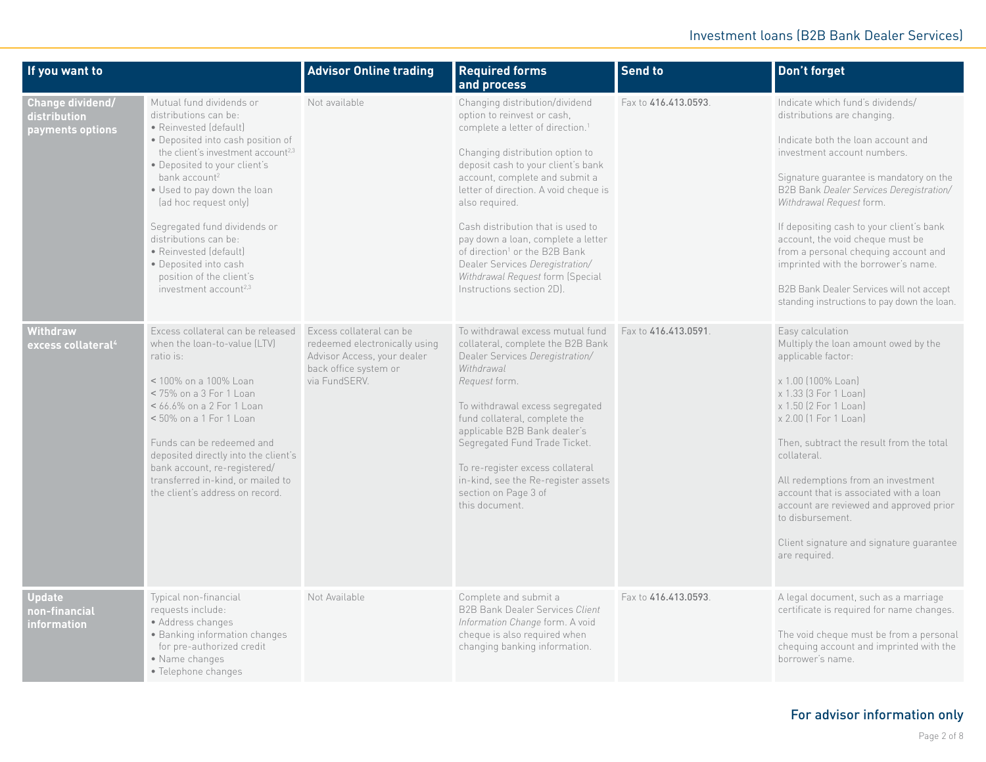| If you want to                                       |                                                                                                                                                                                                                                                                                                                                                                                                                                                                      | <b>Advisor Online trading</b>                                                                                                      | <b>Required forms</b><br>and process                                                                                                                                                                                                                                                                                                                                                                                                                                                                           | <b>Send to</b>       | Don't forget                                                                                                                                                                                                                                                                                                                                                                                                                                                                                                      |
|------------------------------------------------------|----------------------------------------------------------------------------------------------------------------------------------------------------------------------------------------------------------------------------------------------------------------------------------------------------------------------------------------------------------------------------------------------------------------------------------------------------------------------|------------------------------------------------------------------------------------------------------------------------------------|----------------------------------------------------------------------------------------------------------------------------------------------------------------------------------------------------------------------------------------------------------------------------------------------------------------------------------------------------------------------------------------------------------------------------------------------------------------------------------------------------------------|----------------------|-------------------------------------------------------------------------------------------------------------------------------------------------------------------------------------------------------------------------------------------------------------------------------------------------------------------------------------------------------------------------------------------------------------------------------------------------------------------------------------------------------------------|
| Change dividend/<br>distribution<br>payments options | Mutual fund dividends or<br>distributions can be:<br>• Reinvested (default)<br>• Deposited into cash position of<br>the client's investment account <sup>2,3</sup><br>• Deposited to your client's<br>bank account <sup>2</sup><br>. Used to pay down the loan<br>(ad hoc request only)<br>Segregated fund dividends or<br>distributions can be:<br>• Reinvested (default)<br>• Deposited into cash<br>position of the client's<br>investment account <sup>2,3</sup> | Not available                                                                                                                      | Changing distribution/dividend<br>option to reinvest or cash,<br>complete a letter of direction. <sup>1</sup><br>Changing distribution option to<br>deposit cash to your client's bank<br>account, complete and submit a<br>letter of direction. A void cheque is<br>also required.<br>Cash distribution that is used to<br>pay down a loan, complete a letter<br>of direction <sup>1</sup> or the B2B Bank<br>Dealer Services Deregistration/<br>Withdrawal Request form (Special<br>Instructions section 2D. | Fax to 416.413.0593. | Indicate which fund's dividends/<br>distributions are changing.<br>Indicate both the loan account and<br>investment account numbers.<br>Signature quarantee is mandatory on the<br>B2B Bank Dealer Services Deregistration/<br>Withdrawal Request form.<br>If depositing cash to your client's bank<br>account, the void cheque must be<br>from a personal chequing account and<br>imprinted with the borrower's name.<br>B2B Bank Dealer Services will not accept<br>standing instructions to pay down the loan. |
| Withdraw<br>excess collateral $\rm ^4$               | Excess collateral can be released<br>when the loan-to-value (LTV)<br>ratio is:<br>< 100% on a 100% Loan<br>< 75% on a 3 For 1 Loan<br>< 66.6% on a 2 For 1 Loan<br><50% on a 1 For 1 Loan<br>Funds can be redeemed and<br>deposited directly into the client's<br>bank account, re-registered/<br>transferred in-kind, or mailed to<br>the client's address on record.                                                                                               | Excess collateral can be<br>redeemed electronically using<br>Advisor Access, your dealer<br>back office system or<br>via FundSERV. | To withdrawal excess mutual fund<br>collateral, complete the B2B Bank<br>Dealer Services Deregistration/<br>Withdrawal<br>Request form.<br>To withdrawal excess segregated<br>fund collateral, complete the<br>applicable B2B Bank dealer's<br>Segregated Fund Trade Ticket.<br>To re-register excess collateral<br>in-kind, see the Re-register assets<br>section on Page 3 of<br>this document.                                                                                                              | Fax to 416.413.0591  | Easy calculation<br>Multiply the loan amount owed by the<br>applicable factor:<br>x 1.00 (100% Loan)<br>x 1.33 (3 For 1 Loan)<br>x 1.50 (2 For 1 Loan)<br>x 2.00 (1 For 1 Loan)<br>Then, subtract the result from the total<br>collateral.<br>All redemptions from an investment<br>account that is associated with a loan<br>account are reviewed and approved prior<br>to disbursement.<br>Client signature and signature quarantee<br>are required.                                                            |
| <b>Update</b><br>non-financial<br>information        | Typical non-financial<br>requests include:<br>• Address changes<br>· Banking information changes<br>for pre-authorized credit<br>• Name changes<br>• Telephone changes                                                                                                                                                                                                                                                                                               | Not Available                                                                                                                      | Complete and submit a<br><b>B2B Bank Dealer Services Client</b><br>Information Change form. A void<br>cheque is also required when<br>changing banking information.                                                                                                                                                                                                                                                                                                                                            | Fax to 416.413.0593  | A legal document, such as a marriage<br>certificate is required for name changes.<br>The void cheque must be from a personal<br>chequing account and imprinted with the<br>borrower's name.                                                                                                                                                                                                                                                                                                                       |

## For advisor information only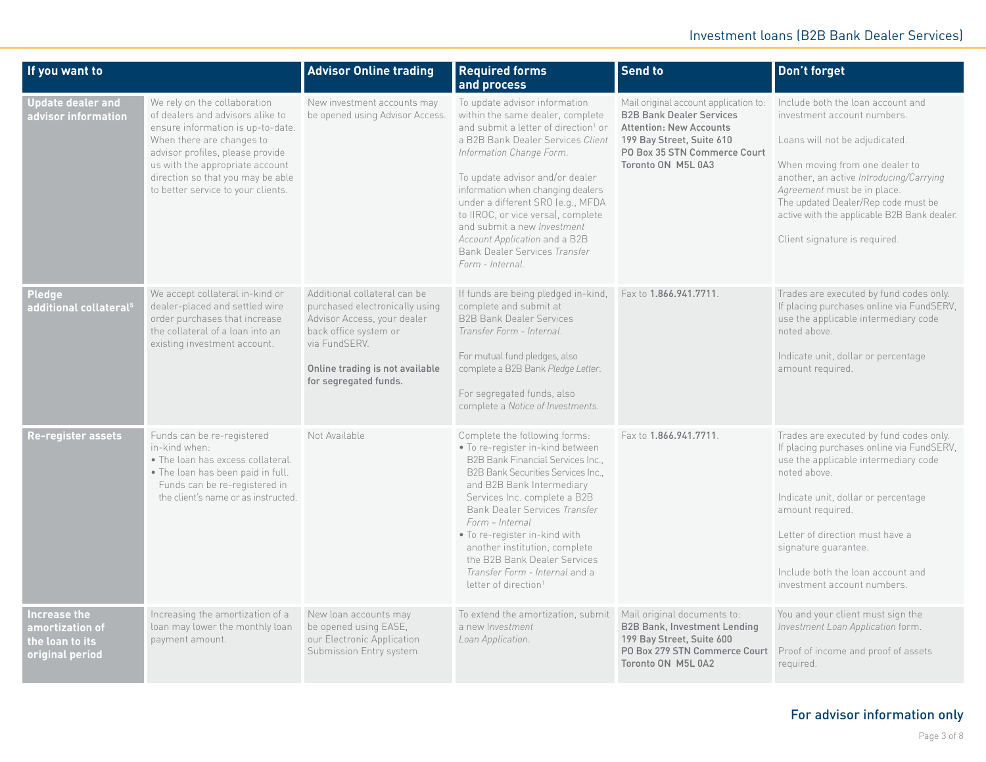| If you want to                                                        |                                                                                                                                                                                                                                                                                      | <b>Advisor Online trading</b>                                                                                                                                                                       | <b>Required forms</b><br>and process                                                                                                                                                                                                                                                                                                                                                                                                                           | Send to                                                                                                                                                                                       | Don't forget                                                                                                                                                                                                                                                                                                                           |
|-----------------------------------------------------------------------|--------------------------------------------------------------------------------------------------------------------------------------------------------------------------------------------------------------------------------------------------------------------------------------|-----------------------------------------------------------------------------------------------------------------------------------------------------------------------------------------------------|----------------------------------------------------------------------------------------------------------------------------------------------------------------------------------------------------------------------------------------------------------------------------------------------------------------------------------------------------------------------------------------------------------------------------------------------------------------|-----------------------------------------------------------------------------------------------------------------------------------------------------------------------------------------------|----------------------------------------------------------------------------------------------------------------------------------------------------------------------------------------------------------------------------------------------------------------------------------------------------------------------------------------|
| <b>Update dealer and</b><br>advisor information                       | We rely on the collaboration<br>of dealers and advisors alike to<br>ensure information is up-to-date.<br>When there are changes to<br>advisor profiles, please provide<br>us with the appropriate account<br>direction so that you may be able<br>to better service to your clients. | New investment accounts may<br>be opened using Advisor Access.                                                                                                                                      | To update advisor information<br>within the same dealer, complete<br>and submit a letter of direction <sup>1</sup> or<br>a B2B Bank Dealer Services Client<br>Information Change Form.<br>To update advisor and/or dealer<br>information when changing dealers<br>under a different SRO (e.g., MFDA<br>to IIROC, or vice versa), complete<br>and submit a new Investment<br>Account Application and a B2B<br>Bank Dealer Services Transfer<br>Form - Internal. | Mail original account application to:<br><b>B2B Bank Dealer Services</b><br><b>Attention: New Accounts</b><br>199 Bay Street, Suite 610<br>PO Box 35 STN Commerce Court<br>Toronto ON M5L 0A3 | Include both the loan account and<br>investment account numbers.<br>Loans will not be adjudicated.<br>When moving from one dealer to<br>another, an active Introducing/Carrying<br>Agreement must be in place.<br>The updated Dealer/Rep code must be<br>active with the applicable B2B Bank dealer.<br>Client signature is required.  |
| Pledge<br>additional collateral <sup>5</sup>                          | We accept collateral in-kind or<br>dealer-placed and settled wire<br>order purchases that increase<br>the collateral of a loan into an<br>existing investment account.                                                                                                               | Additional collateral can be<br>purchased electronically using<br>Advisor Access, your dealer<br>back office system or<br>via FundSERV.<br>Online trading is not available<br>for segregated funds. | If funds are being pledged in-kind,<br>complete and submit at<br><b>B2B Bank Dealer Services</b><br>Transfer Form - Internal.<br>For mutual fund pledges, also<br>complete a B2B Bank Pledge Letter.<br>For segregated funds, also<br>complete a Notice of Investments.                                                                                                                                                                                        | Fax to 1.866.941.7711.                                                                                                                                                                        | Trades are executed by fund codes only.<br>If placing purchases online via FundSERV,<br>use the applicable intermediary code<br>noted above.<br>Indicate unit, dollar or percentage<br>amount required.                                                                                                                                |
| Re-register assets                                                    | Funds can be re-registered<br>in-kind when:<br>. The loan has excess collateral.<br>. The loan has been paid in full.<br>Funds can be re-registered in<br>the client's name or as instructed.                                                                                        | Not Available                                                                                                                                                                                       | Complete the following forms:<br>· To re-register in-kind between<br>B2B Bank Financial Services Inc.,<br><b>B2B Bank Securities Services Inc</b><br>and B2B Bank Intermediary<br>Services Inc. complete a B2B<br>Bank Dealer Services Transfer<br>Form - Internal<br>. To re-register in-kind with<br>another institution, complete<br>the B2B Bank Dealer Services<br>Transfer Form - Internal and a<br>letter of direction <sup>1</sup>                     | Fax to 1.866.941.7711.                                                                                                                                                                        | Trades are executed by fund codes only.<br>If placing purchases online via FundSERV,<br>use the applicable intermediary code<br>noted above.<br>Indicate unit, dollar or percentage<br>amount required.<br>Letter of direction must have a<br>signature quarantee.<br>Include both the loan account and<br>investment account numbers. |
| Increase the<br>amortization of<br>the loan to its<br>original period | Increasing the amortization of a<br>loan may lower the monthly loan<br>payment amount.                                                                                                                                                                                               | New loan accounts may<br>be opened using EASE,<br>our Electronic Application<br>Submission Entry system.                                                                                            | To extend the amortization, submit<br>a new Investment<br>Loan Application.                                                                                                                                                                                                                                                                                                                                                                                    | Mail original documents to:<br><b>B2B Bank, Investment Lending</b><br>199 Bay Street, Suite 600<br>PO Box 279 STN Commerce Court<br>Toronto ON M5L 0A2                                        | You and your client must sign the<br>Investment Loan Application form.<br>Proof of income and proof of assets<br>required.                                                                                                                                                                                                             |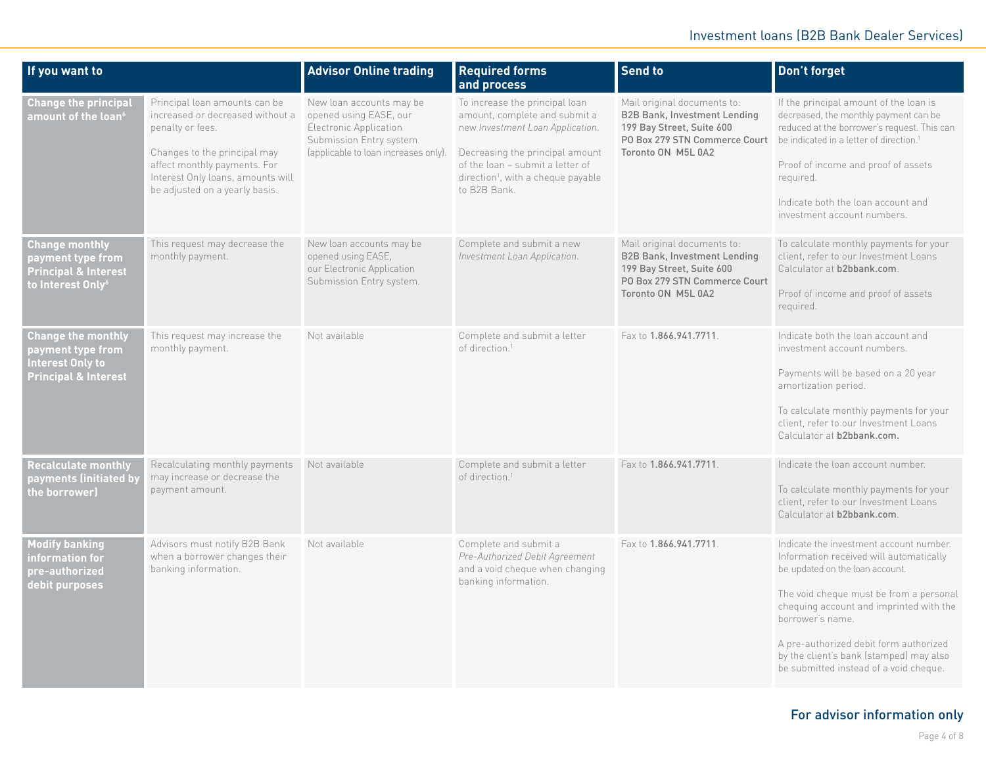| If you want to                                                                                                 |                                                                                                                                                                                                                              | <b>Advisor Online trading</b>                                                                                                                   | <b>Required forms</b><br>and process                                                                                                                                                                                                         | <b>Send to</b>                                                                                                                                         | Don't forget                                                                                                                                                                                                                                                                                                                                                   |
|----------------------------------------------------------------------------------------------------------------|------------------------------------------------------------------------------------------------------------------------------------------------------------------------------------------------------------------------------|-------------------------------------------------------------------------------------------------------------------------------------------------|----------------------------------------------------------------------------------------------------------------------------------------------------------------------------------------------------------------------------------------------|--------------------------------------------------------------------------------------------------------------------------------------------------------|----------------------------------------------------------------------------------------------------------------------------------------------------------------------------------------------------------------------------------------------------------------------------------------------------------------------------------------------------------------|
| <b>Change the principal</b><br>amount of the loan $^6$                                                         | Principal loan amounts can be<br>increased or decreased without a<br>penalty or fees.<br>Changes to the principal may<br>affect monthly payments. For<br>Interest Only loans, amounts will<br>be adjusted on a yearly basis. | New loan accounts may be<br>opened using EASE, our<br>Electronic Application<br>Submission Entry system<br>(applicable to loan increases only). | To increase the principal loan<br>amount, complete and submit a<br>new Investment Loan Application.<br>Decreasing the principal amount<br>of the loan - submit a letter of<br>direction <sup>1</sup> , with a cheque payable<br>to B2B Bank. | Mail original documents to:<br><b>B2B Bank, Investment Lending</b><br>199 Bay Street, Suite 600<br>PO Box 279 STN Commerce Court<br>Toronto ON M5L 0A2 | If the principal amount of the loan is<br>decreased, the monthly payment can be<br>reduced at the borrower's request. This can<br>be indicated in a letter of direction. <sup>1</sup><br>Proof of income and proof of assets<br>required.<br>Indicate both the loan account and<br>investment account numbers.                                                 |
| <b>Change monthly</b><br>payment type from<br><b>Principal &amp; Interest</b><br>to Interest Only <sup>6</sup> | This request may decrease the<br>monthly payment.                                                                                                                                                                            | New loan accounts may be<br>opened using EASE,<br>our Electronic Application<br>Submission Entry system.                                        | Complete and submit a new<br>Investment Loan Application.                                                                                                                                                                                    | Mail original documents to:<br><b>B2B Bank, Investment Lending</b><br>199 Bay Street, Suite 600<br>PO Box 279 STN Commerce Court<br>Toronto ON M5L 0A2 | To calculate monthly payments for your<br>client, refer to our Investment Loans<br>Calculator at b2bbank.com.<br>Proof of income and proof of assets<br>required.                                                                                                                                                                                              |
| <b>Change the monthly</b><br>payment type from<br><b>Interest Only to</b><br><b>Principal &amp; Interest</b>   | This request may increase the<br>monthly payment.                                                                                                                                                                            | Not available                                                                                                                                   | Complete and submit a letter<br>of direction. <sup>1</sup>                                                                                                                                                                                   | Fax to 1.866.941.7711                                                                                                                                  | Indicate both the loan account and<br>investment account numbers.<br>Payments will be based on a 20 year<br>amortization period.<br>To calculate monthly payments for your<br>client, refer to our Investment Loans<br>Calculator at b2bbank.com.                                                                                                              |
| <b>Recalculate monthly</b><br>payments (initiated by<br>the borrower)                                          | Recalculating monthly payments<br>may increase or decrease the<br>payment amount.                                                                                                                                            | Not available                                                                                                                                   | Complete and submit a letter<br>of direction. <sup>1</sup>                                                                                                                                                                                   | Fax to 1.866.941.7711                                                                                                                                  | Indicate the loan account number.<br>To calculate monthly payments for your<br>client, refer to our Investment Loans<br>Calculator at b2bbank.com.                                                                                                                                                                                                             |
| <b>Modify banking</b><br>information for<br>pre-authorized<br>debit purposes                                   | Advisors must notify B2B Bank<br>when a borrower changes their<br>banking information.                                                                                                                                       | Not available                                                                                                                                   | Complete and submit a<br>Pre-Authorized Debit Agreement<br>and a void cheque when changing<br>banking information.                                                                                                                           | Fax to 1.866.941.7711                                                                                                                                  | Indicate the investment account number.<br>Information received will automatically<br>be updated on the loan account.<br>The void cheque must be from a personal<br>chequing account and imprinted with the<br>borrower's name.<br>A pre-authorized debit form authorized<br>by the client's bank (stamped) may also<br>be submitted instead of a void cheque. |

## For advisor information only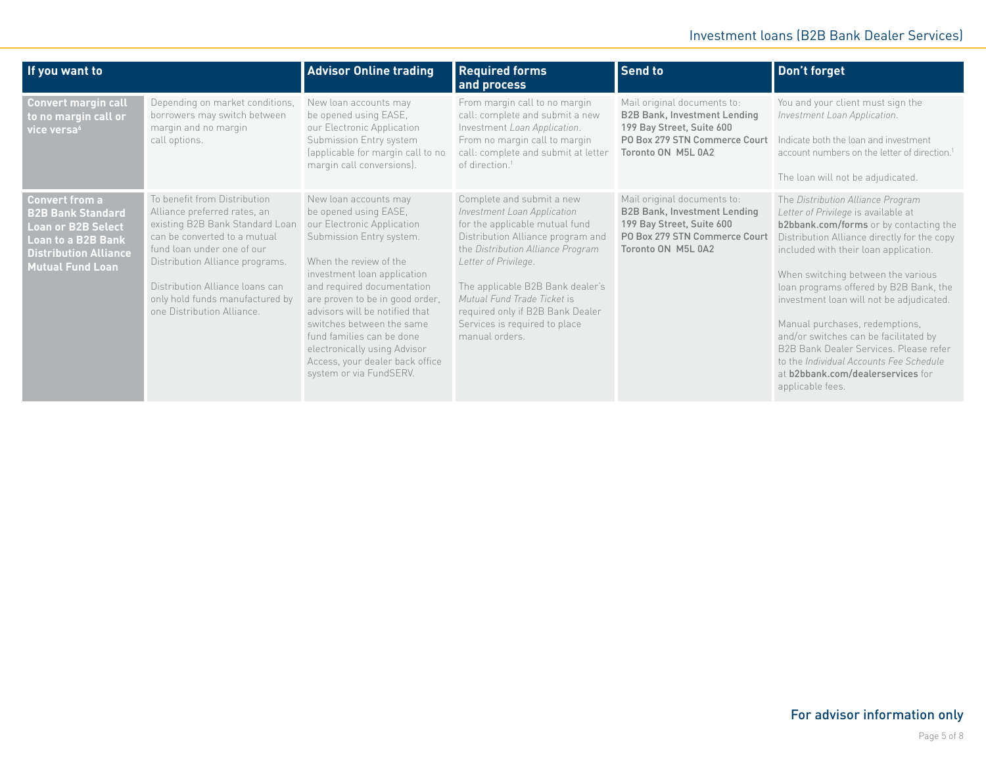| If you want to                                                                                                                                                  |                                                                                                                                                                                                                                                                                                      | <b>Advisor Online trading</b>                                                                                                                                                                                                                                                                                                                                                                                                | <b>Required forms</b><br>and process                                                                                                                                                                                                                                                                                                                   | <b>Send to</b>                                                                                                                                         | Don't forget                                                                                                                                                                                                                                                                                                                                                                                                                                                                                                                                                    |
|-----------------------------------------------------------------------------------------------------------------------------------------------------------------|------------------------------------------------------------------------------------------------------------------------------------------------------------------------------------------------------------------------------------------------------------------------------------------------------|------------------------------------------------------------------------------------------------------------------------------------------------------------------------------------------------------------------------------------------------------------------------------------------------------------------------------------------------------------------------------------------------------------------------------|--------------------------------------------------------------------------------------------------------------------------------------------------------------------------------------------------------------------------------------------------------------------------------------------------------------------------------------------------------|--------------------------------------------------------------------------------------------------------------------------------------------------------|-----------------------------------------------------------------------------------------------------------------------------------------------------------------------------------------------------------------------------------------------------------------------------------------------------------------------------------------------------------------------------------------------------------------------------------------------------------------------------------------------------------------------------------------------------------------|
| <b>Convert margin call</b><br>to no margin call or<br>vice versa <sup>6</sup>                                                                                   | Depending on market conditions,<br>borrowers may switch between<br>margin and no margin<br>call options.                                                                                                                                                                                             | New loan accounts may<br>be opened using EASE,<br>our Electronic Application<br>Submission Entry system<br>(applicable for margin call to no<br>margin call conversions).                                                                                                                                                                                                                                                    | From margin call to no margin<br>call: complete and submit a new<br>Investment Loan Application.<br>From no margin call to margin<br>call: complete and submit at letter<br>of direction. <sup>1</sup>                                                                                                                                                 | Mail original documents to:<br><b>B2B Bank, Investment Lending</b><br>199 Bay Street, Suite 600<br>PO Box 279 STN Commerce Court<br>Toronto ON M5L 0A2 | You and your client must sign the<br>Investment Loan Application.<br>Indicate both the loan and investment<br>account numbers on the letter of direction. <sup>1</sup><br>The loan will not be adjudicated.                                                                                                                                                                                                                                                                                                                                                     |
| <b>Convert from a</b><br><b>B2B Bank Standard</b><br><b>Loan or B2B Select</b><br>Loan to a B2B Bank<br><b>Distribution Alliance</b><br><b>Mutual Fund Loan</b> | To benefit from Distribution<br>Alliance preferred rates, an<br>existing B2B Bank Standard Loan<br>can be converted to a mutual<br>fund loan under one of our<br>Distribution Alliance programs.<br>Distribution Alliance loans can<br>only hold funds manufactured by<br>one Distribution Alliance. | New loan accounts may<br>be opened using EASE,<br>our Electronic Application<br>Submission Entry system.<br>When the review of the<br>investment loan application<br>and required documentation<br>are proven to be in good order,<br>advisors will be notified that<br>switches between the same<br>fund families can be done<br>electronically using Advisor<br>Access, your dealer back office<br>system or via FundSERV. | Complete and submit a new<br>Investment Loan Application<br>for the applicable mutual fund<br>Distribution Alliance program and<br>the Distribution Alliance Program<br>Letter of Privilege.<br>The applicable B2B Bank dealer's<br>Mutual Fund Trade Ticket is<br>required only if B2B Bank Dealer<br>Services is required to place<br>manual orders. | Mail original documents to:<br><b>B2B Bank, Investment Lending</b><br>199 Bay Street, Suite 600<br>PO Box 279 STN Commerce Court<br>Toronto ON M5L 0A2 | The Distribution Alliance Program<br>Letter of Privilege is available at<br>b2bbank.com/forms or by contacting the<br>Distribution Alliance directly for the copy<br>included with their loan application.<br>When switching between the various<br>loan programs offered by B2B Bank, the<br>investment loan will not be adjudicated.<br>Manual purchases, redemptions,<br>and/or switches can be facilitated by<br>B2B Bank Dealer Services, Please refer<br>to the Individual Accounts Fee Schedule<br>at b2bbank.com/dealerservices for<br>applicable fees. |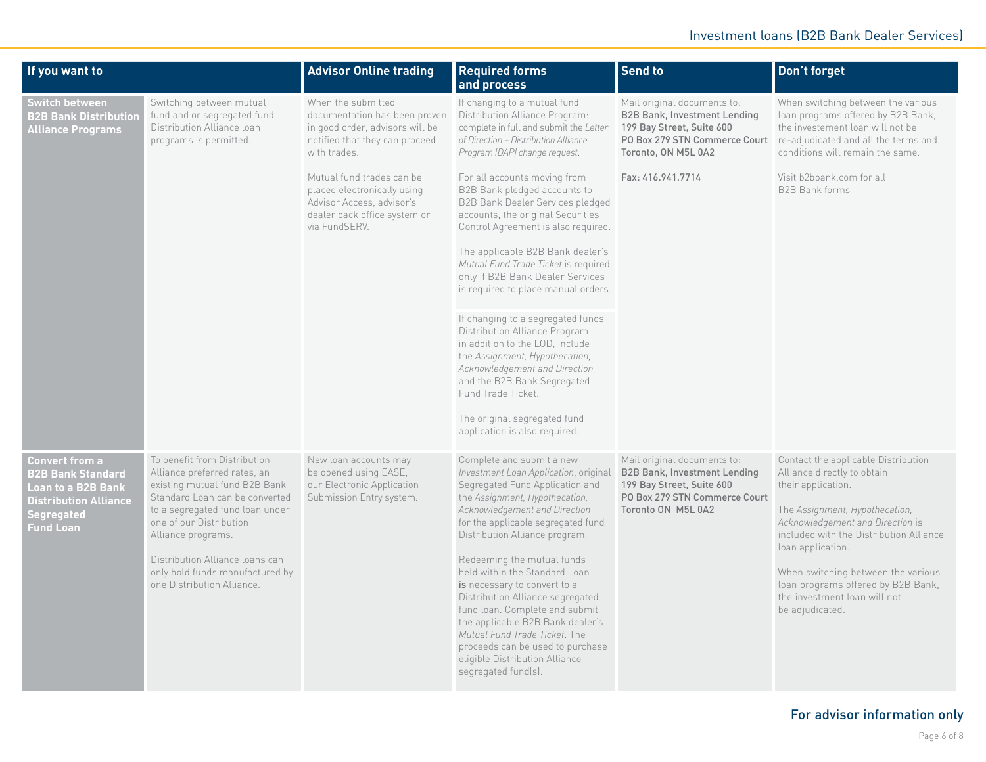| If you want to                                                                                                                     |                                                                                                                                                                                                                                                                                                                         | <b>Advisor Online trading</b>                                                                                                                                                                                                                                                      | <b>Required forms</b><br>and process                                                                                                                                                                                                                                                                                                                                                                                                                                                                                                                                                                                                                                                                                                                                                                                              | Send to                                                                                                                                                                      | Don't forget                                                                                                                                                                                                                                                                                                                                                  |
|------------------------------------------------------------------------------------------------------------------------------------|-------------------------------------------------------------------------------------------------------------------------------------------------------------------------------------------------------------------------------------------------------------------------------------------------------------------------|------------------------------------------------------------------------------------------------------------------------------------------------------------------------------------------------------------------------------------------------------------------------------------|-----------------------------------------------------------------------------------------------------------------------------------------------------------------------------------------------------------------------------------------------------------------------------------------------------------------------------------------------------------------------------------------------------------------------------------------------------------------------------------------------------------------------------------------------------------------------------------------------------------------------------------------------------------------------------------------------------------------------------------------------------------------------------------------------------------------------------------|------------------------------------------------------------------------------------------------------------------------------------------------------------------------------|---------------------------------------------------------------------------------------------------------------------------------------------------------------------------------------------------------------------------------------------------------------------------------------------------------------------------------------------------------------|
| <b>Switch between</b><br><b>B2B Bank Distribution</b><br><b>Alliance Programs</b>                                                  | Switching between mutual<br>fund and or segregated fund<br>Distribution Alliance loan<br>programs is permitted.                                                                                                                                                                                                         | When the submitted<br>documentation has been proven<br>in good order, advisors will be<br>notified that they can proceed<br>with trades.<br>Mutual fund trades can be<br>placed electronically using<br>Advisor Access, advisor's<br>dealer back office system or<br>via FundSERV. | If changing to a mutual fund<br>Distribution Alliance Program:<br>complete in full and submit the Letter<br>of Direction - Distribution Alliance<br>Program (DAP) change request.<br>For all accounts moving from<br>B2B Bank pledged accounts to<br><b>B2B Bank Dealer Services pledged</b><br>accounts, the original Securities<br>Control Agreement is also required.<br>The applicable B2B Bank dealer's<br>Mutual Fund Trade Ticket is required<br>only if B2B Bank Dealer Services<br>is required to place manual orders.<br>If changing to a segregated funds<br>Distribution Alliance Program<br>in addition to the LOD, include<br>the Assignment, Hypothecation,<br>Acknowledgement and Direction<br>and the B2B Bank Segregated<br>Fund Trade Ticket.<br>The original segregated fund<br>application is also required. | Mail original documents to:<br><b>B2B Bank, Investment Lending</b><br>199 Bay Street, Suite 600<br>PO Box 279 STN Commerce Court<br>Toronto, ON M5L 0A2<br>Fax: 416.941.7714 | When switching between the various<br>loan programs offered by B2B Bank,<br>the investement loan will not be<br>re-adjudicated and all the terms and<br>conditions will remain the same.<br>Visit b2bbank.com for all<br>B2B Bank forms                                                                                                                       |
| <b>Convert from a</b><br><b>B2B Bank Standard</b><br>Loan to a B2B Bank<br><b>Distribution Alliance</b><br>Segregated<br>Fund Loan | To benefit from Distribution<br>Alliance preferred rates, an<br>existing mutual fund B2B Bank<br>Standard Loan can be converted<br>to a segregated fund loan under<br>one of our Distribution<br>Alliance programs.<br>Distribution Alliance loans can<br>only hold funds manufactured by<br>one Distribution Alliance. | New loan accounts may<br>be opened using EASE,<br>our Electronic Application<br>Submission Entry system.                                                                                                                                                                           | Complete and submit a new<br>Investment Loan Application, original<br>Segregated Fund Application and<br>the Assignment, Hypothecation,<br>Acknowledgement and Direction<br>for the applicable segregated fund<br>Distribution Alliance program.<br>Redeeming the mutual funds<br>held within the Standard Loan<br>is necessary to convert to a<br>Distribution Alliance segregated<br>fund loan. Complete and submit<br>the applicable B2B Bank dealer's<br>Mutual Fund Trade Ticket. The<br>proceeds can be used to purchase<br>eligible Distribution Alliance<br>segregated fund(s).                                                                                                                                                                                                                                           | Mail original documents to:<br><b>B2B Bank, Investment Lending</b><br>199 Bay Street, Suite 600<br>PO Box 279 STN Commerce Court<br>Toronto ON M5L 0A2                       | Contact the applicable Distribution<br>Alliance directly to obtain<br>their application.<br>The Assignment, Hypothecation,<br>Acknowledgement and Direction is<br>included with the Distribution Alliance<br>loan application.<br>When switching between the various<br>loan programs offered by B2B Bank,<br>the investment loan will not<br>be adjudicated. |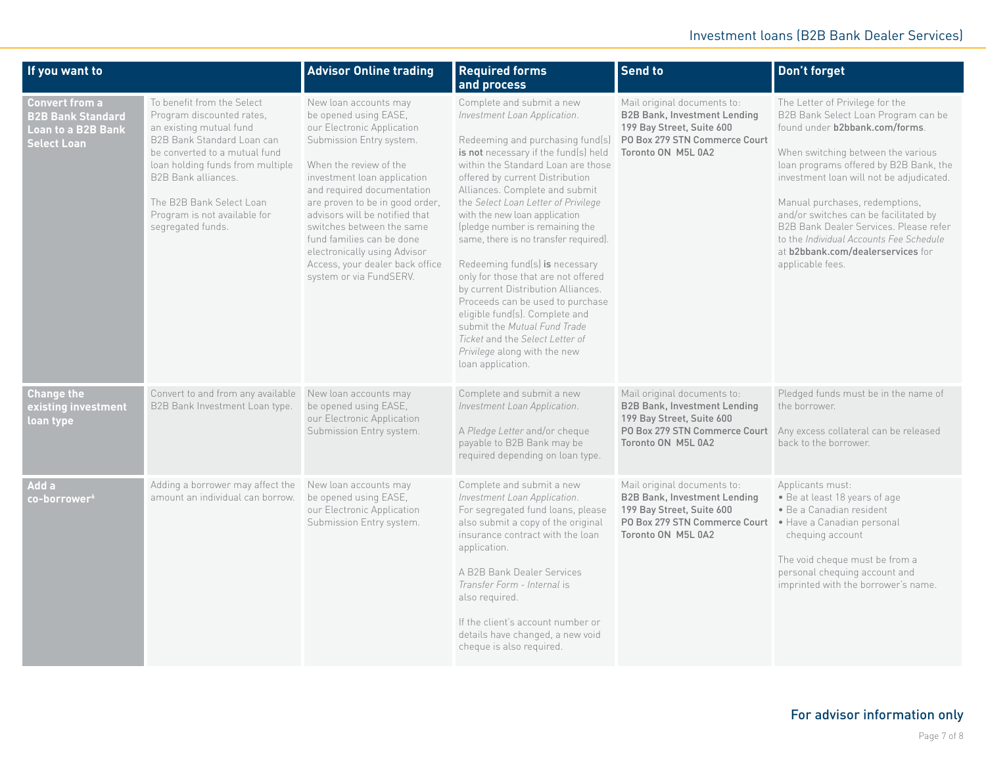| If you want to                                                                         |                                                                                                                                                                                                                                                                                               | <b>Advisor Online trading</b>                                                                                                                                                                                                                                                                                                                                                                                                | <b>Required forms</b><br>and process                                                                                                                                                                                                                                                                                                                                                                                                                                                                                                                                                                                                                                                                              | <b>Send to</b>                                                                                                                                                                    | Don't forget                                                                                                                                                                                                                                                                                                                                                                                                                                                  |
|----------------------------------------------------------------------------------------|-----------------------------------------------------------------------------------------------------------------------------------------------------------------------------------------------------------------------------------------------------------------------------------------------|------------------------------------------------------------------------------------------------------------------------------------------------------------------------------------------------------------------------------------------------------------------------------------------------------------------------------------------------------------------------------------------------------------------------------|-------------------------------------------------------------------------------------------------------------------------------------------------------------------------------------------------------------------------------------------------------------------------------------------------------------------------------------------------------------------------------------------------------------------------------------------------------------------------------------------------------------------------------------------------------------------------------------------------------------------------------------------------------------------------------------------------------------------|-----------------------------------------------------------------------------------------------------------------------------------------------------------------------------------|---------------------------------------------------------------------------------------------------------------------------------------------------------------------------------------------------------------------------------------------------------------------------------------------------------------------------------------------------------------------------------------------------------------------------------------------------------------|
| <b>Convert from a</b><br><b>B2B Bank Standard</b><br>Loan to a B2B Bank<br>Select Loan | To benefit from the Select<br>Program discounted rates,<br>an existing mutual fund<br>B2B Bank Standard Loan can<br>be converted to a mutual fund<br>loan holding funds from multiple<br>B2B Bank alliances.<br>The B2B Bank Select Loan<br>Program is not available for<br>segregated funds. | New loan accounts may<br>be opened using EASE,<br>our Electronic Application<br>Submission Entry system.<br>When the review of the<br>investment loan application<br>and required documentation<br>are proven to be in good order,<br>advisors will be notified that<br>switches between the same<br>fund families can be done<br>electronically using Advisor<br>Access, your dealer back office<br>system or via FundSERV. | Complete and submit a new<br>Investment Loan Application.<br>Redeeming and purchasing fund(s)<br>is not necessary if the fund(s) held<br>within the Standard Loan are those<br>offered by current Distribution<br>Alliances. Complete and submit<br>the Select Loan Letter of Privilege<br>with the new loan application<br>(pledge number is remaining the<br>same, there is no transfer required).<br>Redeeming fund(s) is necessary<br>only for those that are not offered<br>by current Distribution Alliances.<br>Proceeds can be used to purchase<br>eligible fund(s). Complete and<br>submit the Mutual Fund Trade<br>Ticket and the Select Letter of<br>Privilege along with the new<br>loan application. | Mail original documents to:<br><b>B2B Bank, Investment Lending</b><br>199 Bay Street, Suite 600<br>PO Box 279 STN Commerce Court<br>Toronto ON M5L 0A2                            | The Letter of Privilege for the<br>B2B Bank Select Loan Program can be<br>found under b2bbank.com/forms.<br>When switching between the various<br>loan programs offered by B2B Bank, the<br>investment loan will not be adjudicated.<br>Manual purchases, redemptions,<br>and/or switches can be facilitated by<br>B2B Bank Dealer Services. Please refer<br>to the Individual Accounts Fee Schedule<br>at b2bbank.com/dealerservices for<br>applicable fees. |
| <b>Change the</b><br>existing investment<br>loan type                                  | Convert to and from any available<br>B2B Bank Investment Loan type.                                                                                                                                                                                                                           | New loan accounts may<br>be opened using EASE,<br>our Electronic Application<br>Submission Entry system.                                                                                                                                                                                                                                                                                                                     | Complete and submit a new<br>Investment Loan Application.<br>A Pledge Letter and/or cheque<br>payable to B2B Bank may be<br>required depending on loan type.                                                                                                                                                                                                                                                                                                                                                                                                                                                                                                                                                      | Mail original documents to:<br><b>B2B Bank, Investment Lending</b><br>199 Bay Street, Suite 600<br>PO Box 279 STN Commerce Court<br>Toronto ON M5L 0A2                            | Pledged funds must be in the name of<br>the borrower.<br>Any excess collateral can be released<br>back to the borrower.                                                                                                                                                                                                                                                                                                                                       |
| Add a<br>${\mathop{\mathsf{co-borrower}}\nolimits^6}$                                  | Adding a borrower may affect the<br>amount an individual can borrow.                                                                                                                                                                                                                          | New loan accounts may<br>be opened using EASE,<br>our Electronic Application<br>Submission Entry system.                                                                                                                                                                                                                                                                                                                     | Complete and submit a new<br>Investment Loan Application.<br>For segregated fund loans, please<br>also submit a copy of the original<br>insurance contract with the loan<br>application.<br>A B2B Bank Dealer Services<br>Transfer Form - Internal is<br>also required.<br>If the client's account number or<br>details have changed, a new void<br>cheque is also required.                                                                                                                                                                                                                                                                                                                                      | Mail original documents to:<br><b>B2B Bank, Investment Lending</b><br>199 Bay Street, Suite 600<br>PO Box 279 STN Commerce Court . Have a Canadian personal<br>Toronto ON M5L 0A2 | Applicants must:<br>· Be at least 18 years of age<br>· Be a Canadian resident<br>chequing account<br>The void cheque must be from a<br>personal chequing account and<br>imprinted with the borrower's name.                                                                                                                                                                                                                                                   |